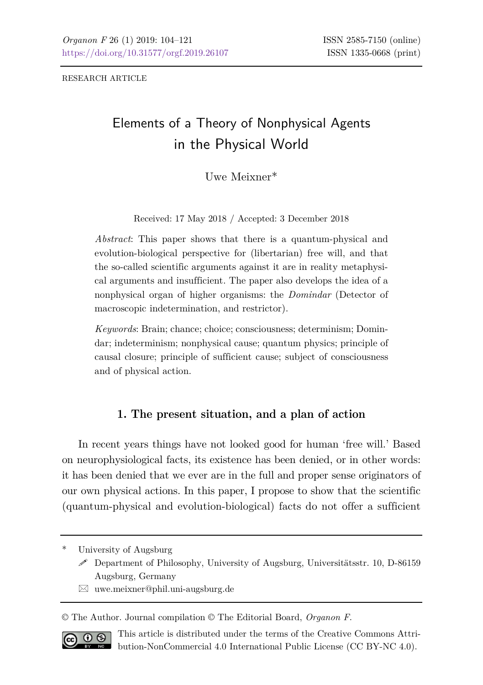RESEARCH ARTICLE

# Elements of a Theory of Nonphysical Agents in the Physical World

 $U_{\text{WQ}}$  Meiyner<sup>\*</sup>

Received: 17 May 2018 / Accepted: 3 December 2018

*Abstract*: This paper shows that there is a quantum-physical and evolution-biological perspective for (libertarian) free will, and that the so-called scientific arguments against it are in reality metaphysical arguments and insufficient. The paper also develops the idea of a nonphysical organ of higher organisms: the *Domindar* (Detector of macroscopic indetermination, and restrictor).

*Keywords*: Brain; chance; choice; consciousness; determinism; Domindar; indeterminism; nonphysical cause; quantum physics; principle of causal closure; principle of sufficient cause; subject of consciousness and of physical action.

### **1. The present situation, and a plan of action**

In recent years things have not looked good for human 'free will.' Based on neurophysiological facts, its existence has been denied, or in other words: it has been denied that we ever are in the full and proper sense originators of our own physical actions. In this paper, I propose to show that the scientific (quantum-physical and evolution-biological) facts do not offer a sufficient

University of Augsburg

 $\boxtimes$  uwe.meixner@phil.uni-augsburg.de

© The Author. Journal compilation © The Editorial Board, *Organon F*.



This article is distributed under the terms of the Creative Commons Attribution-NonCommercial 4.0 International Public License (CC BY-NC 4.0).

 $\mathscr S$  Department of Philosophy, University of Augsburg, Universitätsstr. 10, D-86159 Augsburg, Germany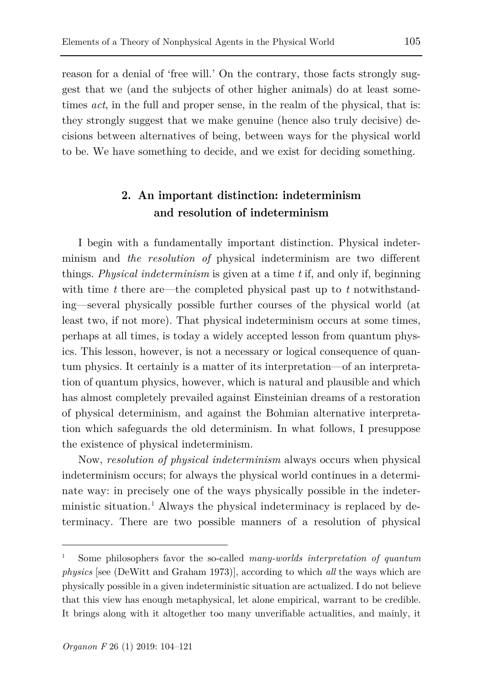reason for a denial of 'free will.' On the contrary, those facts strongly suggest that we (and the subjects of other higher animals) do at least sometimes *act*, in the full and proper sense, in the realm of the physical, that is: they strongly suggest that we make genuine (hence also truly decisive) decisions between alternatives of being, between ways for the physical world to be. We have something to decide, and we exist for deciding something.

## **2. An important distinction: indeterminism and resolution of indeterminism**

I begin with a fundamentally important distinction. Physical indeterminism and *the resolution of* physical indeterminism are two different things. *Physical indeterminism* is given at a time *t* if, and only if, beginning with time *t* there are—the completed physical past up to *t* notwithstanding—several physically possible further courses of the physical world (at least two, if not more). That physical indeterminism occurs at some times, perhaps at all times, is today a widely accepted lesson from quantum physics. This lesson, however, is not a necessary or logical consequence of quantum physics. It certainly is a matter of its interpretation—of an interpretation of quantum physics, however, which is natural and plausible and which has almost completely prevailed against Einsteinian dreams of a restoration of physical determinism, and against the Bohmian alternative interpretation which safeguards the old determinism. In what follows, I presuppose the existence of physical indeterminism.

Now, *resolution of physical indeterminism* always occurs when physical indeterminism occurs; for always the physical world continues in a determinate way: in precisely one of the ways physically possible in the indeterministic situation.[1](#page-1-0) Always the physical indeterminacy is replaced by determinacy. There are two possible manners of a resolution of physical

l

<span id="page-1-0"></span><sup>1</sup> Some philosophers favor the so-called *many-worlds interpretation of quantum physics* [see (DeWitt and Graham 1973)], according to which *all* the ways which are physically possible in a given indeterministic situation are actualized. I do not believe that this view has enough metaphysical, let alone empirical, warrant to be credible. It brings along with it altogether too many unverifiable actualities, and mainly, it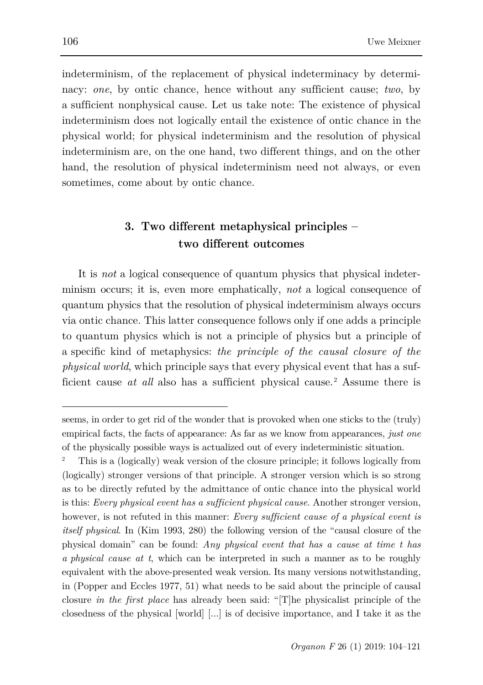indeterminism, of the replacement of physical indeterminacy by determinacy: *one*, by ontic chance, hence without any sufficient cause; *two*, by a sufficient nonphysical cause. Let us take note: The existence of physical indeterminism does not logically entail the existence of ontic chance in the physical world; for physical indeterminism and the resolution of physical indeterminism are, on the one hand, two different things, and on the other hand, the resolution of physical indeterminism need not always, or even sometimes, come about by ontic chance.

### **3. Two different metaphysical principles – two different outcomes**

It is *not* a logical consequence of quantum physics that physical indeterminism occurs; it is, even more emphatically, *not* a logical consequence of quantum physics that the resolution of physical indeterminism always occurs via ontic chance. This latter consequence follows only if one adds a principle to quantum physics which is not a principle of physics but a principle of a specific kind of metaphysics: *the principle of the causal closure of the physical world*, which principle says that every physical event that has a sufficient cause *at all* also has a sufficient physical cause.<sup>[2](#page-2-0)</sup> Assume there is

l

seems, in order to get rid of the wonder that is provoked when one sticks to the (truly) empirical facts, the facts of appearance: As far as we know from appearances, *just one* of the physically possible ways is actualized out of every indeterministic situation.

<span id="page-2-0"></span><sup>2</sup> This is a (logically) weak version of the closure principle; it follows logically from (logically) stronger versions of that principle. A stronger version which is so strong as to be directly refuted by the admittance of ontic chance into the physical world is this: *Every physical event has a sufficient physical cause*. Another stronger version, however, is not refuted in this manner: *Every sufficient cause of a physical event is itself physical*. In (Kim 1993, 280) the following version of the "causal closure of the physical domain" can be found: *Any physical event that has a cause at time t has a physical cause at t*, which can be interpreted in such a manner as to be roughly equivalent with the above-presented weak version. Its many versions notwithstanding, in (Popper and Eccles 1977, 51) what needs to be said about the principle of causal closure *in the first place* has already been said: "[T]he physicalist principle of the closedness of the physical [world] [...] is of decisive importance, and I take it as the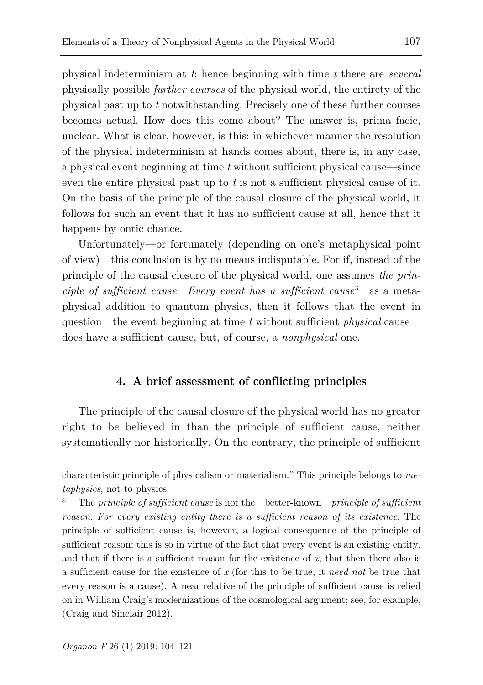physical indeterminism at *t*; hence beginning with time *t* there are *several* physically possible *further courses* of the physical world, the entirety of the physical past up to *t* notwithstanding. Precisely one of these further courses becomes actual. How does this come about? The answer is, prima facie, unclear. What is clear, however, is this: in whichever manner the resolution of the physical indeterminism at hands comes about, there is, in any case, a physical event beginning at time *t* without sufficient physical cause—since even the entire physical past up to *t* is not a sufficient physical cause of it. On the basis of the principle of the causal closure of the physical world, it follows for such an event that it has no sufficient cause at all, hence that it happens by ontic chance.

Unfortunately—or fortunately (depending on one's metaphysical point of view)—this conclusion is by no means indisputable. For if, instead of the principle of the causal closure of the physical world, one assumes *the principle of sufficient cause—Every event has a sufficient cause*<sup>[3](#page-3-0)</sup>—as a metaphysical addition to quantum physics, then it follows that the event in question—the event beginning at time *t* without sufficient *physical* cause does have a sufficient cause, but, of course, a *nonphysical* one.

#### **4. A brief assessment of conflicting principles**

The principle of the causal closure of the physical world has no greater right to be believed in than the principle of sufficient cause, neither systematically nor historically. On the contrary, the principle of sufficient

characteristic principle of physicalism or materialism." This principle belongs to *metaphysics*, not to physics.

<span id="page-3-0"></span><sup>3</sup> The *principle of sufficient cause* is not the—better-known—*principle of sufficient reason*: *For every existing entity there is a sufficient reason of its existence*. The principle of sufficient cause is, however, a logical consequence of the principle of sufficient reason; this is so in virtue of the fact that every event is an existing entity, and that if there is a sufficient reason for the existence of *x*, that then there also is a sufficient cause for the existence of *x* (for this to be true, it *need not* be true that every reason is a cause). A near relative of the principle of sufficient cause is relied on in William Craig's modernizations of the cosmological argument; see, for example, (Craig and Sinclair 2012).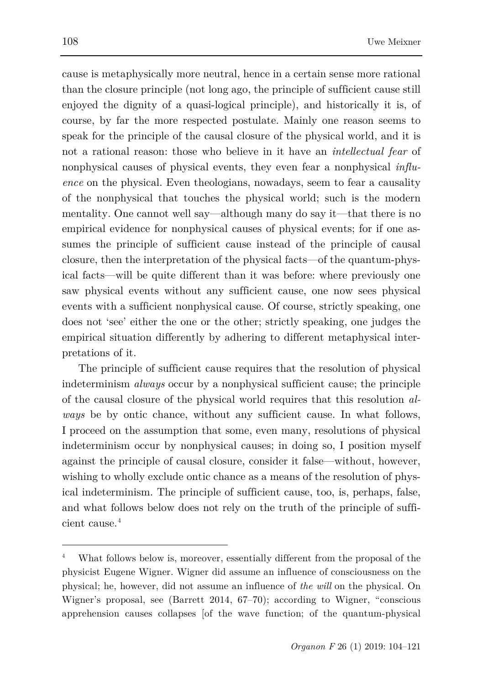cause is metaphysically more neutral, hence in a certain sense more rational than the closure principle (not long ago, the principle of sufficient cause still enjoyed the dignity of a quasi-logical principle), and historically it is, of course, by far the more respected postulate. Mainly one reason seems to speak for the principle of the causal closure of the physical world, and it is not a rational reason: those who believe in it have an *intellectual fear* of nonphysical causes of physical events, they even fear a nonphysical *influence* on the physical. Even theologians, nowadays, seem to fear a causality of the nonphysical that touches the physical world; such is the modern mentality. One cannot well say—although many do say it—that there is no empirical evidence for nonphysical causes of physical events; for if one assumes the principle of sufficient cause instead of the principle of causal closure, then the interpretation of the physical facts—of the quantum-physical facts—will be quite different than it was before: where previously one saw physical events without any sufficient cause, one now sees physical events with a sufficient nonphysical cause. Of course, strictly speaking, one does not 'see' either the one or the other; strictly speaking, one judges the empirical situation differently by adhering to different metaphysical interpretations of it.

The principle of sufficient cause requires that the resolution of physical indeterminism *always* occur by a nonphysical sufficient cause; the principle of the causal closure of the physical world requires that this resolution *always* be by ontic chance, without any sufficient cause. In what follows, I proceed on the assumption that some, even many, resolutions of physical indeterminism occur by nonphysical causes; in doing so, I position myself against the principle of causal closure, consider it false—without, however, wishing to wholly exclude ontic chance as a means of the resolution of physical indeterminism. The principle of sufficient cause, too, is, perhaps, false, and what follows below does not rely on the truth of the principle of sufficient cause.[4](#page-4-0)

<span id="page-4-0"></span>What follows below is, moreover, essentially different from the proposal of the physicist Eugene Wigner. Wigner did assume an influence of consciousness on the physical; he, however, did not assume an influence of *the will* on the physical. On Wigner's proposal, see (Barrett 2014, 67–70); according to Wigner, "conscious apprehension causes collapses [of the wave function; of the quantum-physical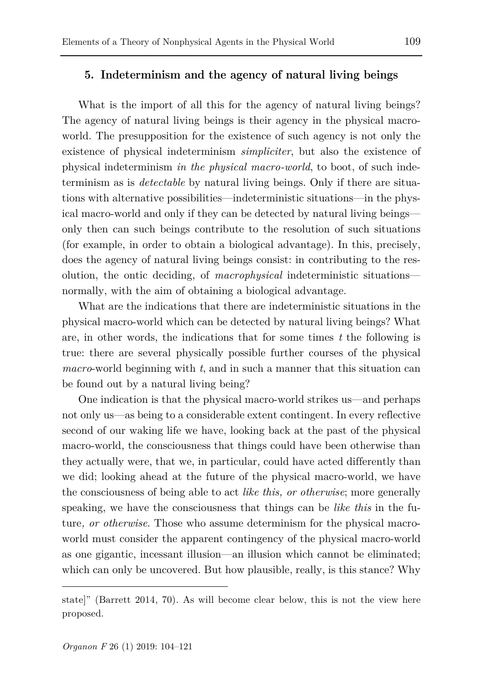### **5. Indeterminism and the agency of natural living beings**

What is the import of all this for the agency of natural living beings? The agency of natural living beings is their agency in the physical macroworld. The presupposition for the existence of such agency is not only the existence of physical indeterminism *simpliciter*, but also the existence of physical indeterminism *in the physical macro-world*, to boot, of such indeterminism as is *detectable* by natural living beings. Only if there are situations with alternative possibilities—indeterministic situations—in the physical macro-world and only if they can be detected by natural living beings only then can such beings contribute to the resolution of such situations (for example, in order to obtain a biological advantage). In this, precisely, does the agency of natural living beings consist: in contributing to the resolution, the ontic deciding, of *macrophysical* indeterministic situations normally, with the aim of obtaining a biological advantage.

What are the indications that there are indeterministic situations in the physical macro-world which can be detected by natural living beings? What are, in other words, the indications that for some times *t* the following is true: there are several physically possible further courses of the physical *macro*-world beginning with *t*, and in such a manner that this situation can be found out by a natural living being?

One indication is that the physical macro-world strikes us—and perhaps not only us—as being to a considerable extent contingent. In every reflective second of our waking life we have, looking back at the past of the physical macro-world, the consciousness that things could have been otherwise than they actually were, that we, in particular, could have acted differently than we did; looking ahead at the future of the physical macro-world, we have the consciousness of being able to act *like this, or otherwise*; more generally speaking, we have the consciousness that things can be *like this* in the future*, or otherwise*. Those who assume determinism for the physical macroworld must consider the apparent contingency of the physical macro-world as one gigantic, incessant illusion—an illusion which cannot be eliminated; which can only be uncovered. But how plausible, really, is this stance? Why

state]" (Barrett 2014, 70). As will become clear below, this is not the view here proposed.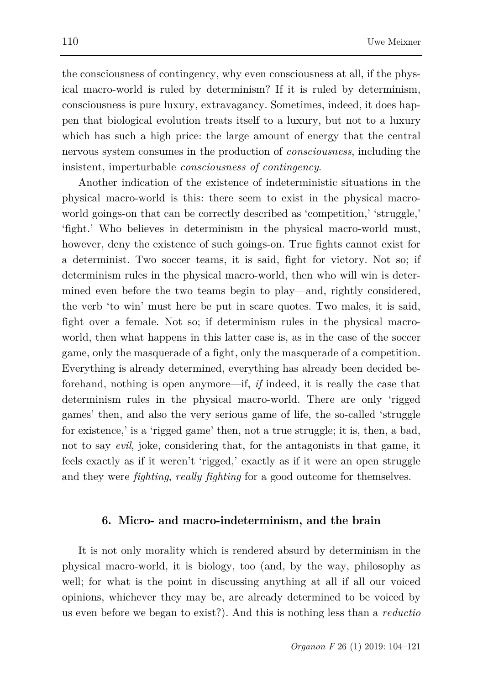the consciousness of contingency, why even consciousness at all, if the physical macro-world is ruled by determinism? If it is ruled by determinism, consciousness is pure luxury, extravagancy. Sometimes, indeed, it does happen that biological evolution treats itself to a luxury, but not to a luxury which has such a high price: the large amount of energy that the central nervous system consumes in the production of *consciousness*, including the insistent, imperturbable *consciousness of contingency*.

Another indication of the existence of indeterministic situations in the physical macro-world is this: there seem to exist in the physical macroworld goings-on that can be correctly described as 'competition,' 'struggle,' 'fight.' Who believes in determinism in the physical macro-world must, however, deny the existence of such goings-on. True fights cannot exist for a determinist. Two soccer teams, it is said, fight for victory. Not so; if determinism rules in the physical macro-world, then who will win is determined even before the two teams begin to play—and, rightly considered, the verb 'to win' must here be put in scare quotes. Two males, it is said, fight over a female. Not so; if determinism rules in the physical macroworld, then what happens in this latter case is, as in the case of the soccer game, only the masquerade of a fight, only the masquerade of a competition. Everything is already determined, everything has already been decided beforehand, nothing is open anymore—if, *if* indeed, it is really the case that determinism rules in the physical macro-world. There are only 'rigged games' then, and also the very serious game of life, the so-called 'struggle for existence,' is a 'rigged game' then, not a true struggle; it is, then, a bad, not to say *evil*, joke, considering that, for the antagonists in that game, it feels exactly as if it weren't 'rigged,' exactly as if it were an open struggle and they were *fighting*, *really fighting* for a good outcome for themselves.

#### **6. Micro- and macro-indeterminism, and the brain**

It is not only morality which is rendered absurd by determinism in the physical macro-world, it is biology, too (and, by the way, philosophy as well; for what is the point in discussing anything at all if all our voiced opinions, whichever they may be, are already determined to be voiced by us even before we began to exist?). And this is nothing less than a *reductio*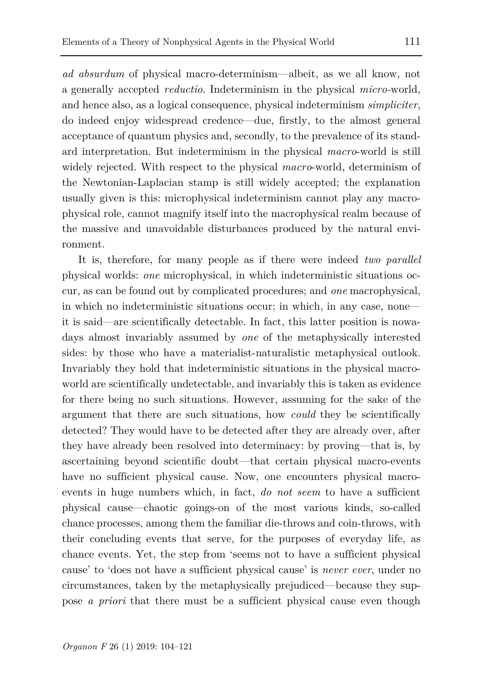*ad absurdum* of physical macro-determinism—albeit, as we all know, not a generally accepted *reductio*. Indeterminism in the physical *micro-*world, and hence also, as a logical consequence, physical indeterminism *simpliciter*, do indeed enjoy widespread credence—due, firstly, to the almost general acceptance of quantum physics and, secondly, to the prevalence of its standard interpretation. But indeterminism in the physical *macro*-world is still widely rejected. With respect to the physical *macro*-world, determinism of the Newtonian-Laplacian stamp is still widely accepted; the explanation usually given is this: microphysical indeterminism cannot play any macrophysical role, cannot magnify itself into the macrophysical realm because of the massive and unavoidable disturbances produced by the natural environment.

It is, therefore, for many people as if there were indeed *two parallel* physical worlds: *one* microphysical, in which indeterministic situations occur, as can be found out by complicated procedures; and *one* macrophysical, in which no indeterministic situations occur; in which, in any case, none it is said—are scientifically detectable. In fact, this latter position is nowadays almost invariably assumed by *one* of the metaphysically interested sides: by those who have a materialist-naturalistic metaphysical outlook. Invariably they hold that indeterministic situations in the physical macroworld are scientifically undetectable, and invariably this is taken as evidence for there being no such situations. However, assuming for the sake of the argument that there are such situations, how *could* they be scientifically detected? They would have to be detected after they are already over, after they have already been resolved into determinacy: by proving—that is, by ascertaining beyond scientific doubt—that certain physical macro-events have no sufficient physical cause. Now, one encounters physical macroevents in huge numbers which, in fact, *do not seem* to have a sufficient physical cause—chaotic goings-on of the most various kinds, so-called chance processes, among them the familiar die-throws and coin-throws, with their concluding events that serve, for the purposes of everyday life, as chance events. Yet, the step from 'seems not to have a sufficient physical cause' to 'does not have a sufficient physical cause' is *never ever*, under no circumstances, taken by the metaphysically prejudiced—because they suppose *a priori* that there must be a sufficient physical cause even though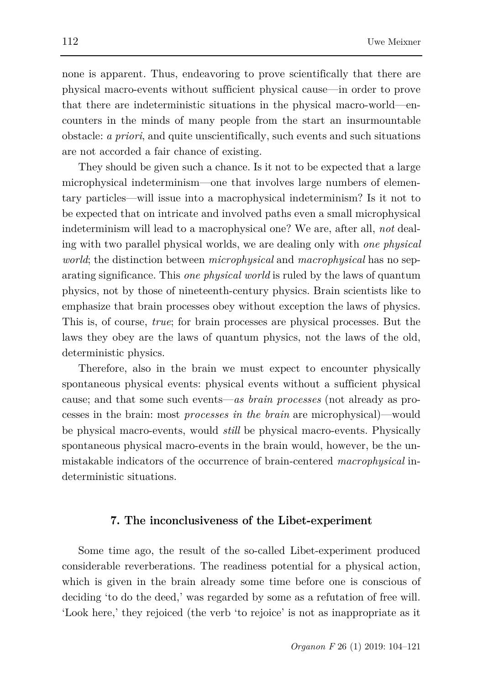none is apparent. Thus, endeavoring to prove scientifically that there are physical macro-events without sufficient physical cause—in order to prove that there are indeterministic situations in the physical macro-world—encounters in the minds of many people from the start an insurmountable obstacle: *a priori*, and quite unscientifically, such events and such situations are not accorded a fair chance of existing.

They should be given such a chance. Is it not to be expected that a large microphysical indeterminism—one that involves large numbers of elementary particles—will issue into a macrophysical indeterminism? Is it not to be expected that on intricate and involved paths even a small microphysical indeterminism will lead to a macrophysical one? We are, after all, *not* dealing with two parallel physical worlds, we are dealing only with *one physical world*; the distinction between *microphysical* and *macrophysical* has no separating significance. This *one physical world* is ruled by the laws of quantum physics, not by those of nineteenth-century physics. Brain scientists like to emphasize that brain processes obey without exception the laws of physics. This is, of course, *true*; for brain processes are physical processes. But the laws they obey are the laws of quantum physics, not the laws of the old, deterministic physics.

Therefore, also in the brain we must expect to encounter physically spontaneous physical events: physical events without a sufficient physical cause; and that some such events—*as brain processes* (not already as processes in the brain: most *processes in the brain* are microphysical)—would be physical macro-events, would *still* be physical macro-events. Physically spontaneous physical macro-events in the brain would, however, be the unmistakable indicators of the occurrence of brain-centered *macrophysical* indeterministic situations.

#### **7. The inconclusiveness of the Libet-experiment**

Some time ago, the result of the so-called Libet-experiment produced considerable reverberations. The readiness potential for a physical action, which is given in the brain already some time before one is conscious of deciding 'to do the deed,' was regarded by some as a refutation of free will. 'Look here,' they rejoiced (the verb 'to rejoice' is not as inappropriate as it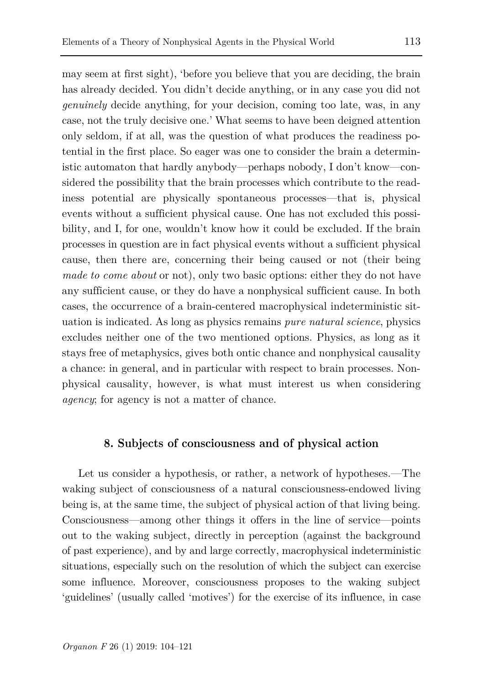may seem at first sight), 'before you believe that you are deciding, the brain has already decided. You didn't decide anything, or in any case you did not *genuinely* decide anything, for your decision, coming too late, was, in any case, not the truly decisive one.' What seems to have been deigned attention only seldom, if at all, was the question of what produces the readiness potential in the first place. So eager was one to consider the brain a deterministic automaton that hardly anybody—perhaps nobody, I don't know—considered the possibility that the brain processes which contribute to the readiness potential are physically spontaneous processes—that is, physical events without a sufficient physical cause. One has not excluded this possibility, and I, for one, wouldn't know how it could be excluded. If the brain processes in question are in fact physical events without a sufficient physical cause, then there are, concerning their being caused or not (their being *made to come about* or not), only two basic options: either they do not have any sufficient cause, or they do have a nonphysical sufficient cause. In both cases, the occurrence of a brain-centered macrophysical indeterministic situation is indicated. As long as physics remains *pure natural science*, physics excludes neither one of the two mentioned options. Physics, as long as it stays free of metaphysics, gives both ontic chance and nonphysical causality a chance: in general, and in particular with respect to brain processes. Nonphysical causality, however, is what must interest us when considering *agency*; for agency is not a matter of chance.

### **8. Subjects of consciousness and of physical action**

Let us consider a hypothesis, or rather, a network of hypotheses.—The waking subject of consciousness of a natural consciousness-endowed living being is, at the same time, the subject of physical action of that living being. Consciousness—among other things it offers in the line of service—points out to the waking subject, directly in perception (against the background of past experience), and by and large correctly, macrophysical indeterministic situations, especially such on the resolution of which the subject can exercise some influence. Moreover, consciousness proposes to the waking subject 'guidelines' (usually called 'motives') for the exercise of its influence, in case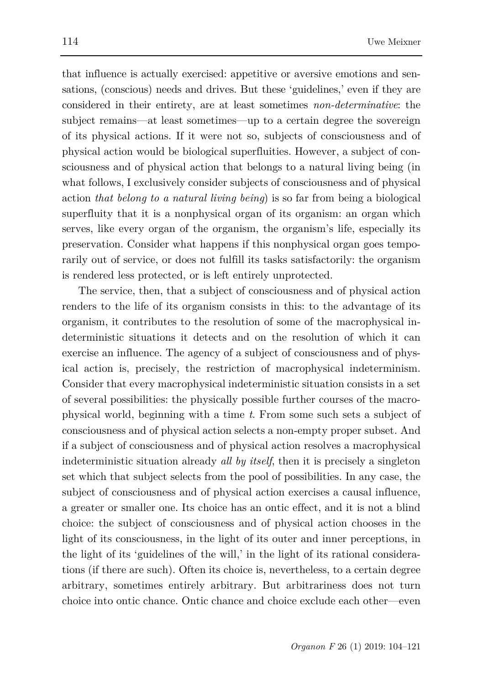that influence is actually exercised: appetitive or aversive emotions and sensations, (conscious) needs and drives. But these 'guidelines,' even if they are considered in their entirety, are at least sometimes *non-determinative*: the subject remains—at least sometimes—up to a certain degree the sovereign of its physical actions. If it were not so, subjects of consciousness and of physical action would be biological superfluities. However, a subject of consciousness and of physical action that belongs to a natural living being (in what follows, I exclusively consider subjects of consciousness and of physical action *that belong to a natural living being*) is so far from being a biological superfluity that it is a nonphysical organ of its organism: an organ which serves, like every organ of the organism, the organism's life, especially its preservation. Consider what happens if this nonphysical organ goes temporarily out of service, or does not fulfill its tasks satisfactorily: the organism is rendered less protected, or is left entirely unprotected.

The service, then, that a subject of consciousness and of physical action renders to the life of its organism consists in this: to the advantage of its organism, it contributes to the resolution of some of the macrophysical indeterministic situations it detects and on the resolution of which it can exercise an influence. The agency of a subject of consciousness and of physical action is, precisely, the restriction of macrophysical indeterminism. Consider that every macrophysical indeterministic situation consists in a set of several possibilities: the physically possible further courses of the macrophysical world, beginning with a time *t*. From some such sets a subject of consciousness and of physical action selects a non-empty proper subset. And if a subject of consciousness and of physical action resolves a macrophysical indeterministic situation already *all by itself*, then it is precisely a singleton set which that subject selects from the pool of possibilities. In any case, the subject of consciousness and of physical action exercises a causal influence, a greater or smaller one. Its choice has an ontic effect, and it is not a blind choice: the subject of consciousness and of physical action chooses in the light of its consciousness, in the light of its outer and inner perceptions, in the light of its 'guidelines of the will,' in the light of its rational considerations (if there are such). Often its choice is, nevertheless, to a certain degree arbitrary, sometimes entirely arbitrary. But arbitrariness does not turn choice into ontic chance. Ontic chance and choice exclude each other—even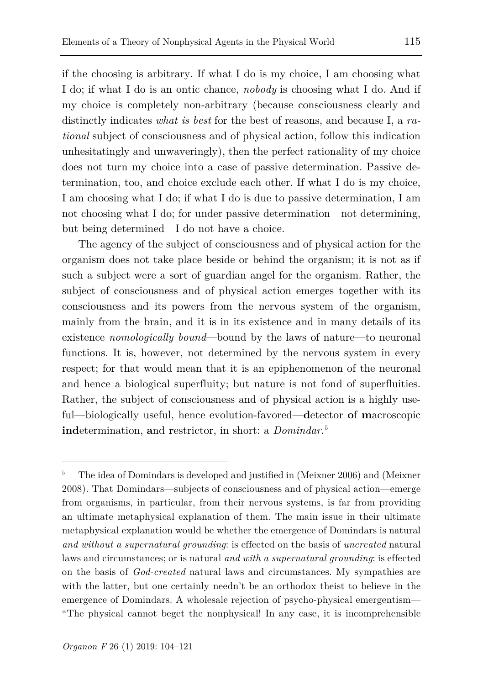but being determined—I do not have a choice.

if the choosing is arbitrary. If what I do is my choice, I am choosing what I do; if what I do is an ontic chance, *nobody* is choosing what I do. And if my choice is completely non-arbitrary (because consciousness clearly and distinctly indicates *what is best* for the best of reasons, and because I, a *rational* subject of consciousness and of physical action, follow this indication unhesitatingly and unwaveringly), then the perfect rationality of my choice does not turn my choice into a case of passive determination. Passive determination, too, and choice exclude each other. If what I do is my choice, I am choosing what I do; if what I do is due to passive determination, I am

not choosing what I do; for under passive determination—not determining,

The agency of the subject of consciousness and of physical action for the organism does not take place beside or behind the organism; it is not as if such a subject were a sort of guardian angel for the organism. Rather, the subject of consciousness and of physical action emerges together with its consciousness and its powers from the nervous system of the organism, mainly from the brain, and it is in its existence and in many details of its existence *nomologically bound*—bound by the laws of nature—to neuronal functions. It is, however, not determined by the nervous system in every respect; for that would mean that it is an epiphenomenon of the neuronal and hence a biological superfluity; but nature is not fond of superfluities. Rather, the subject of consciousness and of physical action is a highly useful—biologically useful, hence evolution-favored—**d**etector **o**f **m**acroscopic **ind**etermination, **a**nd **r**estrictor, in short: a *Domindar*. [5](#page-11-0)

<span id="page-11-0"></span><sup>5</sup> The idea of Domindars is developed and justified in (Meixner 2006) and (Meixner 2008). That Domindars—subjects of consciousness and of physical action—emerge from organisms, in particular, from their nervous systems, is far from providing an ultimate metaphysical explanation of them. The main issue in their ultimate metaphysical explanation would be whether the emergence of Domindars is natural *and without a supernatural grounding*: is effected on the basis of *uncreated* natural laws and circumstances; or is natural *and with a supernatural grounding*: is effected on the basis of *God-created* natural laws and circumstances. My sympathies are with the latter, but one certainly needn't be an orthodox theist to believe in the emergence of Domindars. A wholesale rejection of psycho-physical emergentism— "The physical cannot beget the nonphysical! In any case, it is incomprehensible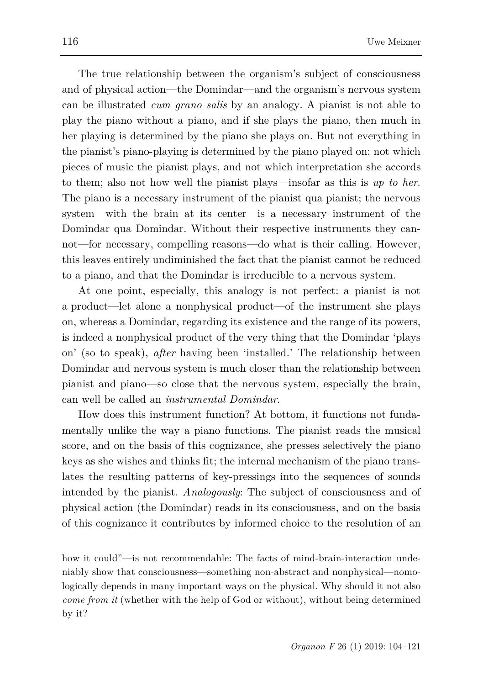The true relationship between the organism's subject of consciousness and of physical action—the Domindar—and the organism's nervous system can be illustrated *cum grano salis* by an analogy. A pianist is not able to play the piano without a piano, and if she plays the piano, then much in her playing is determined by the piano she plays on. But not everything in the pianist's piano-playing is determined by the piano played on: not which pieces of music the pianist plays, and not which interpretation she accords to them; also not how well the pianist plays—insofar as this is *up to her*. The piano is a necessary instrument of the pianist qua pianist; the nervous system—with the brain at its center—is a necessary instrument of the Domindar qua Domindar. Without their respective instruments they cannot—for necessary, compelling reasons—do what is their calling. However, this leaves entirely undiminished the fact that the pianist cannot be reduced to a piano, and that the Domindar is irreducible to a nervous system.

At one point, especially, this analogy is not perfect: a pianist is not a product—let alone a nonphysical product—of the instrument she plays on, whereas a Domindar, regarding its existence and the range of its powers, is indeed a nonphysical product of the very thing that the Domindar 'plays on' (so to speak), *after* having been 'installed.' The relationship between Domindar and nervous system is much closer than the relationship between pianist and piano—so close that the nervous system, especially the brain, can well be called an *instrumental Domindar*.

How does this instrument function? At bottom, it functions not fundamentally unlike the way a piano functions. The pianist reads the musical score, and on the basis of this cognizance, she presses selectively the piano keys as she wishes and thinks fit; the internal mechanism of the piano translates the resulting patterns of key-pressings into the sequences of sounds intended by the pianist. *Analogously*: The subject of consciousness and of physical action (the Domindar) reads in its consciousness, and on the basis of this cognizance it contributes by informed choice to the resolution of an

how it could"—is not recommendable: The facts of mind-brain-interaction undeniably show that consciousness—something non-abstract and nonphysical—nomologically depends in many important ways on the physical. Why should it not also *come from it* (whether with the help of God or without), without being determined by it?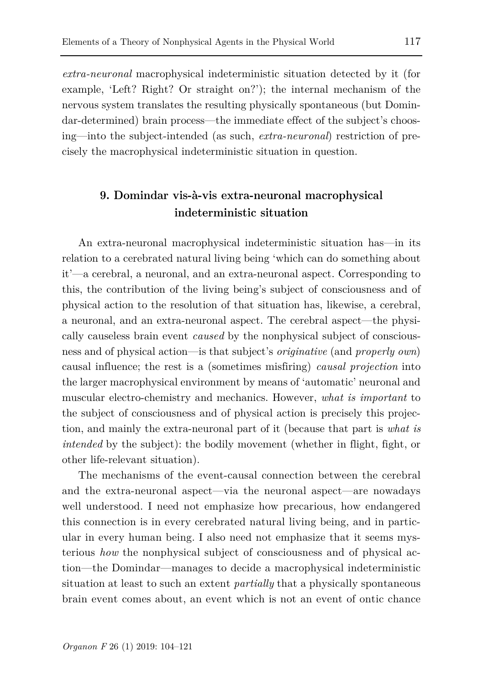*extra-neuronal* macrophysical indeterministic situation detected by it (for example, 'Left? Right? Or straight on?'); the internal mechanism of the nervous system translates the resulting physically spontaneous (but Domindar-determined) brain process—the immediate effect of the subject's choosing—into the subject-intended (as such, *extra-neuronal*) restriction of precisely the macrophysical indeterministic situation in question.

### **9. Domindar vis-à-vis extra-neuronal macrophysical indeterministic situation**

An extra-neuronal macrophysical indeterministic situation has—in its relation to a cerebrated natural living being 'which can do something about it'—a cerebral, a neuronal, and an extra-neuronal aspect. Corresponding to this, the contribution of the living being's subject of consciousness and of physical action to the resolution of that situation has, likewise, a cerebral, a neuronal, and an extra-neuronal aspect. The cerebral aspect—the physically causeless brain event *caused* by the nonphysical subject of consciousness and of physical action—is that subject's *originative* (and *properly own*) causal influence; the rest is a (sometimes misfiring) *causal projection* into the larger macrophysical environment by means of 'automatic' neuronal and muscular electro-chemistry and mechanics. However, *what is important* to the subject of consciousness and of physical action is precisely this projection, and mainly the extra-neuronal part of it (because that part is *what is intended* by the subject): the bodily movement (whether in flight, fight, or other life-relevant situation).

The mechanisms of the event-causal connection between the cerebral and the extra-neuronal aspect—via the neuronal aspect—are nowadays well understood. I need not emphasize how precarious, how endangered this connection is in every cerebrated natural living being, and in particular in every human being. I also need not emphasize that it seems mysterious *how* the nonphysical subject of consciousness and of physical action—the Domindar—manages to decide a macrophysical indeterministic situation at least to such an extent *partially* that a physically spontaneous brain event comes about, an event which is not an event of ontic chance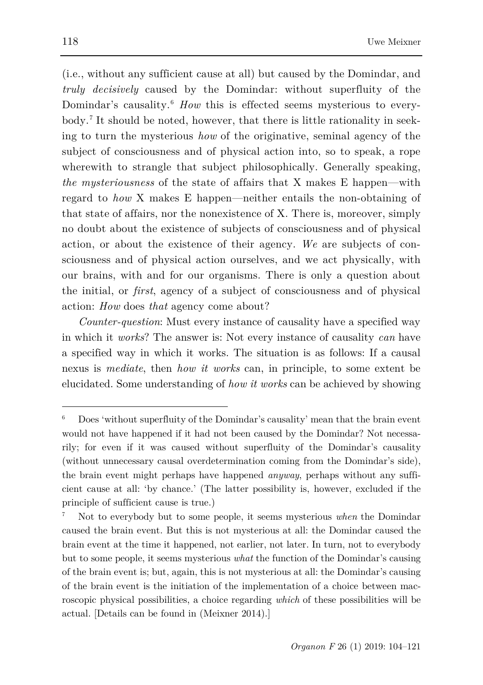(i.e., without any sufficient cause at all) but caused by the Domindar, and *truly decisively* caused by the Domindar: without superfluity of the Domindar's causality.<sup>[6](#page-14-0)</sup> *How* this is effected seems mysterious to everybody.[7](#page-14-1) It should be noted, however, that there is little rationality in seeking to turn the mysterious *how* of the originative, seminal agency of the subject of consciousness and of physical action into, so to speak, a rope wherewith to strangle that subject philosophically. Generally speaking, *the mysteriousness* of the state of affairs that X makes E happen—with regard to *how* X makes E happen—neither entails the non-obtaining of that state of affairs, nor the nonexistence of X. There is, moreover, simply no doubt about the existence of subjects of consciousness and of physical action, or about the existence of their agency. *We* are subjects of consciousness and of physical action ourselves, and we act physically, with our brains, with and for our organisms. There is only a question about the initial, or *first*, agency of a subject of consciousness and of physical action: *How* does *that* agency come about?

*Counter-question*: Must every instance of causality have a specified way in which it *works*? The answer is: Not every instance of causality *can* have a specified way in which it works. The situation is as follows: If a causal nexus is *mediate*, then *how it works* can, in principle, to some extent be elucidated. Some understanding of *how it works* can be achieved by showing

<span id="page-14-0"></span><sup>6</sup> Does 'without superfluity of the Domindar's causality' mean that the brain event would not have happened if it had not been caused by the Domindar? Not necessarily; for even if it was caused without superfluity of the Domindar's causality (without unnecessary causal overdetermination coming from the Domindar's side), the brain event might perhaps have happened *anyway*, perhaps without any sufficient cause at all: 'by chance.' (The latter possibility is, however, excluded if the principle of sufficient cause is true.)

<span id="page-14-1"></span><sup>7</sup> Not to everybody but to some people, it seems mysterious *when* the Domindar caused the brain event. But this is not mysterious at all: the Domindar caused the brain event at the time it happened, not earlier, not later. In turn, not to everybody but to some people, it seems mysterious *what* the function of the Domindar's causing of the brain event is; but, again, this is not mysterious at all: the Domindar's causing of the brain event is the initiation of the implementation of a choice between macroscopic physical possibilities, a choice regarding *which* of these possibilities will be actual. [Details can be found in (Meixner 2014).]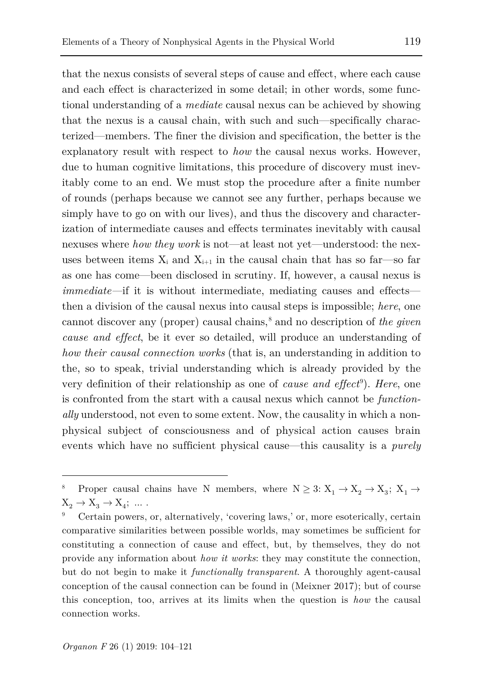that the nexus consists of several steps of cause and effect, where each cause and each effect is characterized in some detail; in other words, some functional understanding of a *mediate* causal nexus can be achieved by showing that the nexus is a causal chain, with such and such—specifically characterized—members. The finer the division and specification, the better is the explanatory result with respect to *how* the causal nexus works. However, due to human cognitive limitations, this procedure of discovery must inevitably come to an end. We must stop the procedure after a finite number of rounds (perhaps because we cannot see any further, perhaps because we simply have to go on with our lives), and thus the discovery and characterization of intermediate causes and effects terminates inevitably with causal nexuses where *how they work* is not—at least not yet—understood: the nexuses between items  $X_i$  and  $X_{i+1}$  in the causal chain that has so far—so far as one has come—been disclosed in scrutiny. If, however, a causal nexus is *immediate—*if it is without intermediate, mediating causes and effects then a division of the causal nexus into causal steps is impossible; *here*, one cannot discover any (proper) causal chains,<sup>[8](#page-15-0)</sup> and no description of *the given cause and effect*, be it ever so detailed, will produce an understanding of *how their causal connection works* (that is, an understanding in addition to the, so to speak, trivial understanding which is already provided by the very definition of their relationship as one of *cause and effect*[9](#page-15-1) ). *Here*, one is confronted from the start with a causal nexus which cannot be *functionally* understood, not even to some extent. Now, the causality in which a nonphysical subject of consciousness and of physical action causes brain events which have no sufficient physical cause—this causality is a *purely* 

<span id="page-15-0"></span>Proper causal chains have N members, where  $N \geq 3: X_1 \to X_2 \to X_3; X_1 \to$  $X_2 \rightarrow X_3 \rightarrow X_4$ ; …

<span id="page-15-1"></span><sup>9</sup> Certain powers, or, alternatively, 'covering laws,' or, more esoterically, certain comparative similarities between possible worlds, may sometimes be sufficient for constituting a connection of cause and effect, but, by themselves, they do not provide any information about *how it works*: they may constitute the connection, but do not begin to make it *functionally transparent*. A thoroughly agent-causal conception of the causal connection can be found in (Meixner 2017); but of course this conception, too, arrives at its limits when the question is *how* the causal connection works.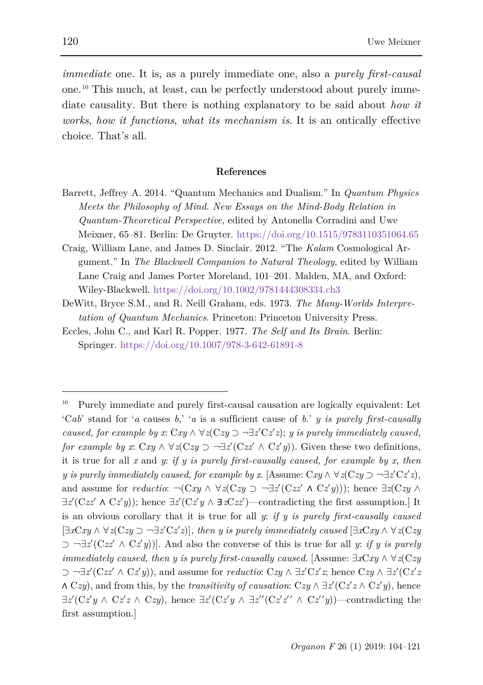*immediate* one. It is, as a purely immediate one, also a *purely first-causal*  one.[10](#page-16-0) This much, at least, can be perfectly understood about purely immediate causality. But there is nothing explanatory to be said about *how it works*, *how it functions*, *what its mechanism is*. It is an ontically effective choice. That's all.

#### **References**

- Barrett, Jeffrey A. 2014. "Quantum Mechanics and Dualism." In *Quantum Physics Meets the Philosophy of Mind. New Essays on the Mind-Body Relation in Quantum-Theoretical Perspective*, edited by Antonella Corradini and Uwe Meixner, 65–81. Berlin: De Gruyter. <https://doi.org/10.1515/9783110351064.65>
- Craig, William Lane, and James D. Sinclair. 2012. "The *Kalam* Cosmological Argument." In *The Blackwell Companion to Natural Theology*, edited by William Lane Craig and James Porter Moreland, 101–201. Malden, MA, and Oxford: Wiley-Blackwell. <https://doi.org/10.1002/9781444308334.ch3>
- DeWitt, Bryce S.M., and R. Neill Graham, eds. 1973. *The Many-Worlds Interpretation of Quantum Mechanics*. Princeton: Princeton University Press.
- Eccles, John C., and Karl R. Popper. 1977. *The Self and Its Brain*. Berlin: Springer. <https://doi.org/10.1007/978-3-642-61891-8>

<span id="page-16-0"></span><sup>10</sup> Purely immediate and purely first-causal causation are logically equivalent: Let 'C*ab*' stand for '*a* causes *b*,' '*a* is a sufficient cause of *b*.' *y is purely first-causally caused, for example by x*:  $Cxy \wedge \forall z (Czy \supset \neg \exists z' Cz'z); y$  *is purely immediately caused, for example by x*:  $Cxy \wedge \forall z (Czy \supset \neg \exists z' (Czz' \wedge Cz'y))$ . Given these two definitions, it is true for all *x* and *y*: *if y is purely first-causally caused, for example by x*, *then y is purely immediately caused, for example by <i>x*. [Assume:  $Cxy \wedge \forall z(Czy \supset \neg \exists z'Cz'z)$ , and assume for *reductio*:  $\neg$ (C*xy* ∧  $\forall$ *z*(C*zy* ⊃  $\neg \exists z'$ (C*zz'* ∧ C*z'y*))); hence  $\exists z$ (C*zy* ∧  $\exists z'(Czz' \land Cz'y)$ ; hence  $\exists z'(Cz'y \land \exists zCzz')$ —contradicting the first assumption.] It is an obvious corollary that it is true for all *y*: *if y is purely first-causally caused* [∃*x*C*xy* ∧ ∀*z*(C*zy* ⊃ ¬∃*z*′C*z*′*z*)]*, then y is purely immediately caused* [∃*x*C*xy* ∧ ∀*z*(C*zy* ⊃ ¬∃*z*′(C*zz*′ ∧ C*z*′*y*))]. And also the converse of this is true for all *y*: *if y is purely immediately caused, then y is purely first-causally caused*. [Assume: ∃*x*C*xy* ∧ ∀*z*(C*zy* ⊃ ¬∃*z*′(C*zz*′ ∧ C*z*′*y*)), and assume for *reductio*: C*zy* ∧ ∃*z*′C*z*′*z*; hence C*zy* ∧ ∃*z*′(C*z*′*z* ∧ C*zy*), and from this, by the *transitivity of causation*: C*zy* ∧ ∃*z*′(C*z*′*z* ∧ C*z*′*y*), hence ∃*z*′(C*z*′*y* ∧ C*z*′*z* ∧ C*zy*), hence ∃*z*′(C*z*′*y* ∧ ∃*z*′′(C*z*′*z*′′ ∧ C*z*′′*y*))—contradicting the first assumption.]